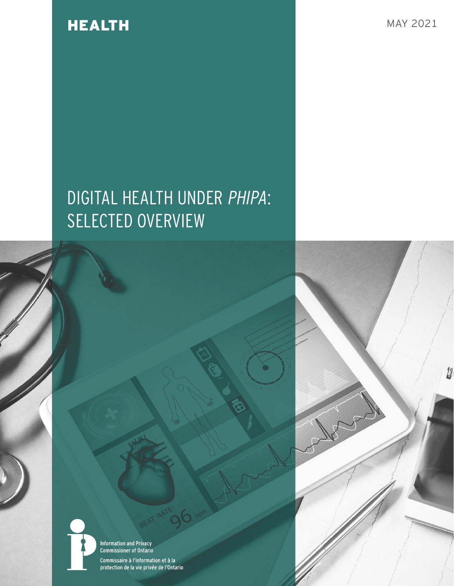## HEALTH MAY 2021

12

# DIGITAL HEALTH UNDER PHIPA: SELECTED OVERVIEW

**Information and Privacy<br>Commissioner of Ontario** 

Commissaire à l'information et à la<br>protection de la vie privée de l'Ontario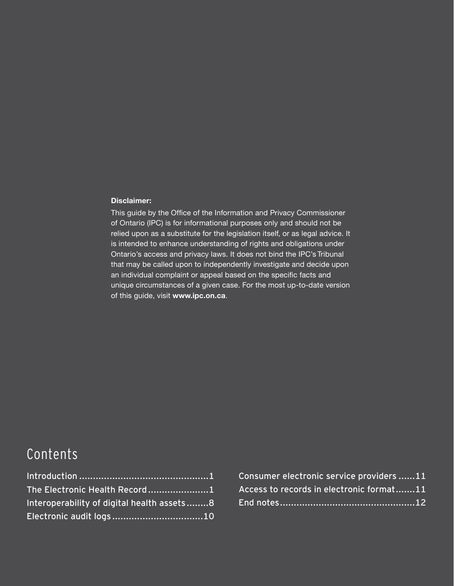#### **Disclaimer:**

This guide by the Office of the Information and Privacy Commissioner of Ontario (IPC) is for informational purposes only and should not be relied upon as a substitute for the legislation itself, or as legal advice. It is intended to enhance understanding of rights and obligations under Ontario's access and privacy laws. It does not bind the IPC's Tribunal that may be called upon to independently investigate and decide upon an individual complaint or appeal based on the specific facts and unique circumstances of a given case. For the most up-to-date version of this guide, visit **[www.ipc.on.ca](https://www.ipc.on.ca/)**.

## Contents

| The Electronic Health Record1              |  |
|--------------------------------------------|--|
| Interoperability of digital health assets8 |  |
| Electronic audit logs10                    |  |

| Consumer electronic service providers 11 |  |
|------------------------------------------|--|
| Access to records in electronic format11 |  |
|                                          |  |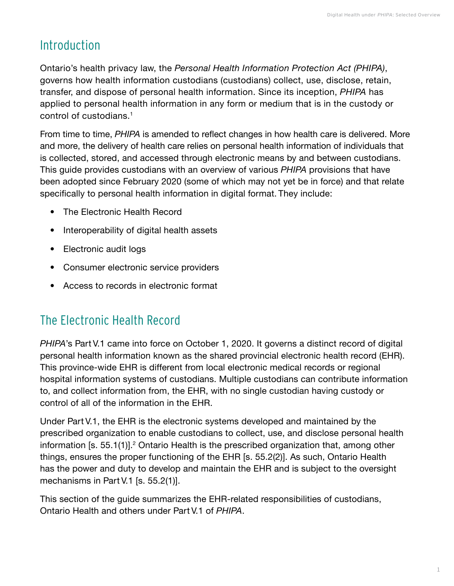## <span id="page-2-0"></span>Introduction

Ontario's health privacy law, the *Personal Health Information Protection Act (PHIPA)*, governs how health information custodians (custodians) collect, use, disclose, retain, transfer, and dispose of personal health information. Since its inception, *PHIPA* has applied to personal health information in any form or medium that is in the custody or control of custodians.<sup>1</sup>

From time to time, *PHIPA* is amended to reflect changes in how health care is delivered. More and more, the delivery of health care relies on personal health information of individuals that is collected, stored, and accessed through electronic means by and between custodians. This guide provides custodians with an overview of various *PHIPA* provisions that have been adopted since February 2020 (some of which may not yet be in force) and that relate specifically to personal health information in digital format. They include:

- The Electronic Health Record
- Interoperability of digital health assets
- Electronic audit logs
- Consumer electronic service providers
- Access to records in electronic format

## The Electronic Health Record

*PHIPA*'s Part V.1 came into force on October 1, 2020. It governs a distinct record of digital personal health information known as the shared provincial electronic health record (EHR). This province-wide EHR is different from local electronic medical records or regional hospital information systems of custodians. Multiple custodians can contribute information to, and collect information from, the EHR, with no single custodian having custody or control of all of the information in the EHR.

Under Part V.1, the EHR is the electronic systems developed and maintained by the prescribed organization to enable custodians to collect, use, and disclose personal health information [s. 55.1(1)].<sup>2</sup> Ontario Health is the prescribed organization that, among other things, ensures the proper functioning of the EHR [s. 55.2(2)]. As such, Ontario Health has the power and duty to develop and maintain the EHR and is subject to the oversight mechanisms in Part V.1 [s. 55.2(1)].

This section of the guide summarizes the EHR-related responsibilities of custodians, Ontario Health and others under Part V.1 of *PHIPA*.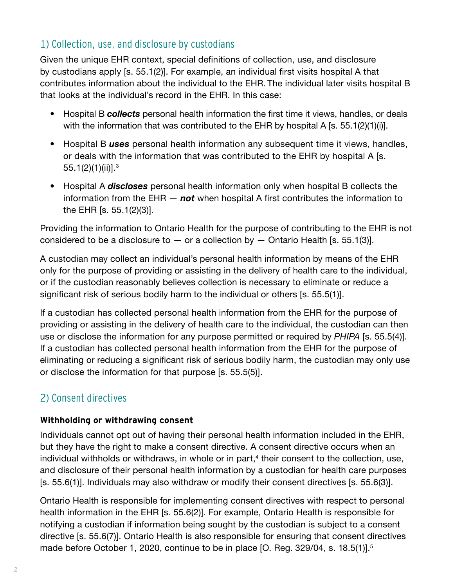### 1) Collection, use, and disclosure by custodians

Given the unique EHR context, special definitions of collection, use, and disclosure by custodians apply [s. 55.1(2)]. For example, an individual first visits hospital A that contributes information about the individual to the EHR. The individual later visits hospital B that looks at the individual's record in the EHR. In this case:

- Hospital B *collects* personal health information the first time it views, handles, or deals with the information that was contributed to the EHR by hospital A [s. 55.1(2)(1)(i)].
- Hospital B *uses* personal health information any subsequent time it views, handles, or deals with the information that was contributed to the EHR by hospital A [s. 55.1 $(2)(1)(ii)$ ].<sup>3</sup>
- Hospital A *discloses* personal health information only when hospital B collects the information from the EHR — *not* when hospital A first contributes the information to the EHR [s. 55.1(2)(3)].

Providing the information to Ontario Health for the purpose of contributing to the EHR is not considered to be a disclosure to  $-$  or a collection by  $-$  Ontario Health [s. 55.1(3)].

A custodian may collect an individual's personal health information by means of the EHR only for the purpose of providing or assisting in the delivery of health care to the individual, or if the custodian reasonably believes collection is necessary to eliminate or reduce a significant risk of serious bodily harm to the individual or others [s. 55.5(1)].

If a custodian has collected personal health information from the EHR for the purpose of providing or assisting in the delivery of health care to the individual, the custodian can then use or disclose the information for any purpose permitted or required by *PHIPA* [s. 55.5(4)]. If a custodian has collected personal health information from the EHR for the purpose of eliminating or reducing a significant risk of serious bodily harm, the custodian may only use or disclose the information for that purpose [s. 55.5(5)].

## 2) Consent directives

#### **Withholding or withdrawing consent**

Individuals cannot opt out of having their personal health information included in the EHR, but they have the right to make a consent directive. A consent directive occurs when an individual withholds or withdraws, in whole or in part, $4$  their consent to the collection, use, and disclosure of their personal health information by a custodian for health care purposes [s. 55.6(1)]. Individuals may also withdraw or modify their consent directives [s. 55.6(3)].

Ontario Health is responsible for implementing consent directives with respect to personal health information in the EHR [s. 55.6(2)]. For example, Ontario Health is responsible for notifying a custodian if information being sought by the custodian is subject to a consent directive [s. 55.6(7)]. Ontario Health is also responsible for ensuring that consent directives made before October 1, 2020, continue to be in place [O. Reg. 329/04, s. 18.5(1)].<sup>5</sup>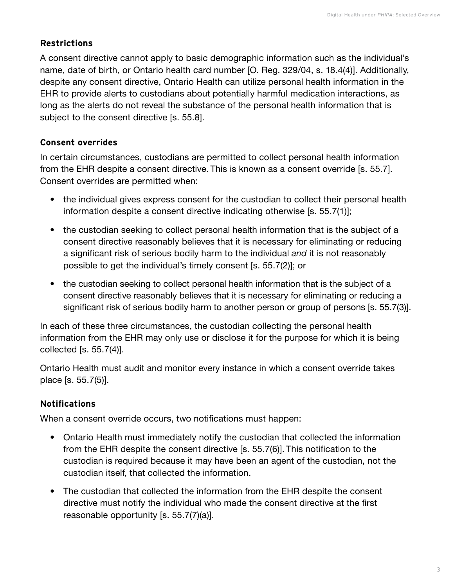#### **Restrictions**

A consent directive cannot apply to basic demographic information such as the individual's name, date of birth, or Ontario health card number [O. Reg. 329/04, s. 18.4(4)]. Additionally, despite any consent directive, Ontario Health can utilize personal health information in the EHR to provide alerts to custodians about potentially harmful medication interactions, as long as the alerts do not reveal the substance of the personal health information that is subject to the consent directive [s. 55.8].

#### **Consent overrides**

In certain circumstances, custodians are permitted to collect personal health information from the EHR despite a consent directive. This is known as a consent override [s. 55.7]. Consent overrides are permitted when:

- the individual gives express consent for the custodian to collect their personal health information despite a consent directive indicating otherwise [s. 55.7(1)];
- the custodian seeking to collect personal health information that is the subject of a consent directive reasonably believes that it is necessary for eliminating or reducing a significant risk of serious bodily harm to the individual *and* it is not reasonably possible to get the individual's timely consent [s. 55.7(2)]; or
- the custodian seeking to collect personal health information that is the subject of a consent directive reasonably believes that it is necessary for eliminating or reducing a significant risk of serious bodily harm to another person or group of persons [s. 55.7(3)].

In each of these three circumstances, the custodian collecting the personal health information from the EHR may only use or disclose it for the purpose for which it is being collected [s. 55.7(4)].

Ontario Health must audit and monitor every instance in which a consent override takes place [s. 55.7(5)].

### **Notifications**

When a consent override occurs, two notifications must happen:

- Ontario Health must immediately notify the custodian that collected the information from the EHR despite the consent directive [s. 55.7(6)]. This notification to the custodian is required because it may have been an agent of the custodian, not the custodian itself, that collected the information.
- The custodian that collected the information from the EHR despite the consent directive must notify the individual who made the consent directive at the first reasonable opportunity [s. 55.7(7)(a)].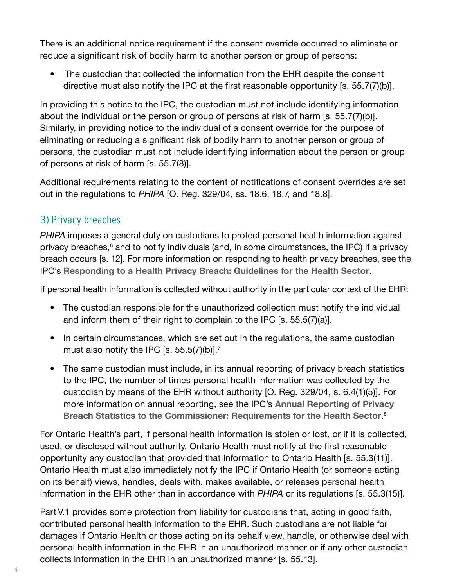There is an additional notice requirement if the consent override occurred to eliminate or reduce a significant risk of bodily harm to another person or group of persons:

• The custodian that collected the information from the EHR despite the consent directive must also notify the IPC at the first reasonable opportunity [s. 55.7(7)(b)].

In providing this notice to the IPC, the custodian must not include identifying information about the individual or the person or group of persons at risk of harm [s. 55.7(7)(b)]. Similarly, in providing notice to the individual of a consent override for the purpose of eliminating or reducing a significant risk of bodily harm to another person or group of persons, the custodian must not include identifying information about the person or group of persons at risk of harm [s. 55.7(8)].

Additional requirements relating to the content of notifications of consent overrides are set out in the regulations to *PHIPA* [O. Reg. 329/04, ss. 18.6, 18.7, and 18.8].

### 3) Privacy breaches

*PHIPA* imposes a general duty on custodians to protect personal health information against privacy breaches,<sup>6</sup> and to notify individuals (and, in some circumstances, the IPC) if a privacy breach occurs [s. 12]. For more information on responding to health privacy breaches, see the IPC's **[Responding to a Health Privacy Breach: Guidelines for the Health Sector](https://www.ipc.on.ca/wp-content/uploads/2018/10/health-privacy-breach-guidelines.pdf)**.

If personal health information is collected without authority in the particular context of the EHR:

- The custodian responsible for the unauthorized collection must notify the individual and inform them of their right to complain to the IPC [s. 55.5(7)(a)].
- In certain circumstances, which are set out in the regulations, the same custodian must also notify the IPC [s.  $55.5(7)(b)$ ].<sup>7</sup>
- The same custodian must include, in its annual reporting of privacy breach statistics to the IPC, the number of times personal health information was collected by the custodian by means of the EHR without authority [O. Reg. 329/04, s. 6.4(1)(5)]. For more information on annual reporting, see the IPC's **[Annual Reporting of Privacy](https://www.ipc.on.ca/wp-content/uploads/2017/11/annual-breach-statistics-rptg.pdf)  [Breach Statistics to the Commissioner: Requirements for the Health Sector](https://www.ipc.on.ca/wp-content/uploads/2017/11/annual-breach-statistics-rptg.pdf)**. 8

For Ontario Health's part, if personal health information is stolen or lost, or if it is collected, used, or disclosed without authority, Ontario Health must notify at the first reasonable opportunity any custodian that provided that information to Ontario Health [s. 55.3(11)]. Ontario Health must also immediately notify the IPC if Ontario Health (or someone acting on its behalf) views, handles, deals with, makes available, or releases personal health information in the EHR other than in accordance with *PHIPA* or its regulations [s. 55.3(15)].

Part V.1 provides some protection from liability for custodians that, acting in good faith, contributed personal health information to the EHR. Such custodians are not liable for damages if Ontario Health or those acting on its behalf view, handle, or otherwise deal with personal health information in the EHR in an unauthorized manner or if any other custodian collects information in the EHR in an unauthorized manner [s. 55.13].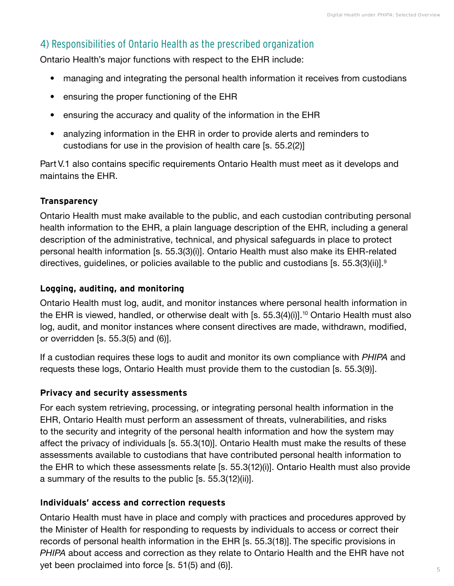## 4) Responsibilities of Ontario Health as the prescribed organization

Ontario Health's major functions with respect to the EHR include:

- managing and integrating the personal health information it receives from custodians
- ensuring the proper functioning of the EHR
- ensuring the accuracy and quality of the information in the EHR
- analyzing information in the EHR in order to provide alerts and reminders to custodians for use in the provision of health care [s. 55.2(2)]

Part V.1 also contains specific requirements Ontario Health must meet as it develops and maintains the EHR.

### **Transparency**

Ontario Health must make available to the public, and each custodian contributing personal health information to the EHR, a plain language description of the EHR, including a general description of the administrative, technical, and physical safeguards in place to protect personal health information [s. 55.3(3)(i)]. Ontario Health must also make its EHR-related directives, guidelines, or policies available to the public and custodians [s. 55.3(3)(ii)].9

#### **Logging, auditing, and monitoring**

Ontario Health must log, audit, and monitor instances where personal health information in the EHR is viewed, handled, or otherwise dealt with [s.  $55.3(4)(i)$ ].<sup>10</sup> Ontario Health must also log, audit, and monitor instances where consent directives are made, withdrawn, modified, or overridden [s. 55.3(5) and (6)].

If a custodian requires these logs to audit and monitor its own compliance with *PHIPA* and requests these logs, Ontario Health must provide them to the custodian [s. 55.3(9)].

#### **Privacy and security assessments**

For each system retrieving, processing, or integrating personal health information in the EHR, Ontario Health must perform an assessment of threats, vulnerabilities, and risks to the security and integrity of the personal health information and how the system may affect the privacy of individuals [s. 55.3(10)]. Ontario Health must make the results of these assessments available to custodians that have contributed personal health information to the EHR to which these assessments relate [s. 55.3(12)(i)]. Ontario Health must also provide a summary of the results to the public [s. 55.3(12)(ii)].

#### **Individuals' access and correction requests**

Ontario Health must have in place and comply with practices and procedures approved by the Minister of Health for responding to requests by individuals to access or correct their records of personal health information in the EHR [s. 55.3(18)]. The specific provisions in *PHIPA* about access and correction as they relate to Ontario Health and the EHR have not yet been proclaimed into force [s. 51(5) and (6)].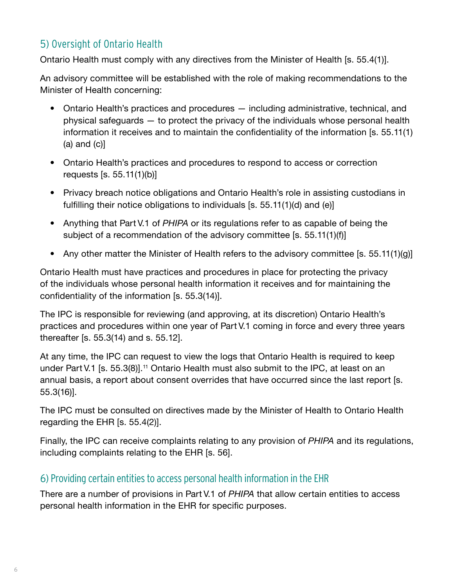## 5) Oversight of Ontario Health

Ontario Health must comply with any directives from the Minister of Health [s. 55.4(1)].

An advisory committee will be established with the role of making recommendations to the Minister of Health concerning:

- Ontario Health's practices and procedures including administrative, technical, and physical safeguards — to protect the privacy of the individuals whose personal health information it receives and to maintain the confidentiality of the information [s. 55.11(1)  $(a)$  and  $(c)$ ]
- Ontario Health's practices and procedures to respond to access or correction requests [s. 55.11(1)(b)]
- Privacy breach notice obligations and Ontario Health's role in assisting custodians in fulfilling their notice obligations to individuals [s. 55.11(1)(d) and (e)]
- Anything that Part V.1 of *PHIPA* or its regulations refer to as capable of being the subject of a recommendation of the advisory committee [s. 55.11(1)(f)]
- Any other matter the Minister of Health refers to the advisory committee [s. 55.11(1)(g)]

Ontario Health must have practices and procedures in place for protecting the privacy of the individuals whose personal health information it receives and for maintaining the confidentiality of the information [s. 55.3(14)].

The IPC is responsible for reviewing (and approving, at its discretion) Ontario Health's practices and procedures within one year of Part V.1 coming in force and every three years thereafter [s. 55.3(14) and s. 55.12].

At any time, the IPC can request to view the logs that Ontario Health is required to keep under Part V.1 [s. 55.3(8)].<sup>11</sup> Ontario Health must also submit to the IPC, at least on an annual basis, a report about consent overrides that have occurred since the last report [s. 55.3(16)].

The IPC must be consulted on directives made by the Minister of Health to Ontario Health regarding the EHR [s. 55.4(2)].

Finally, the IPC can receive complaints relating to any provision of *PHIPA* and its regulations, including complaints relating to the EHR [s. 56].

### 6) Providing certain entities to access personal health information in the EHR

There are a number of provisions in Part V.1 of *PHIPA* that allow certain entities to access personal health information in the EHR for specific purposes.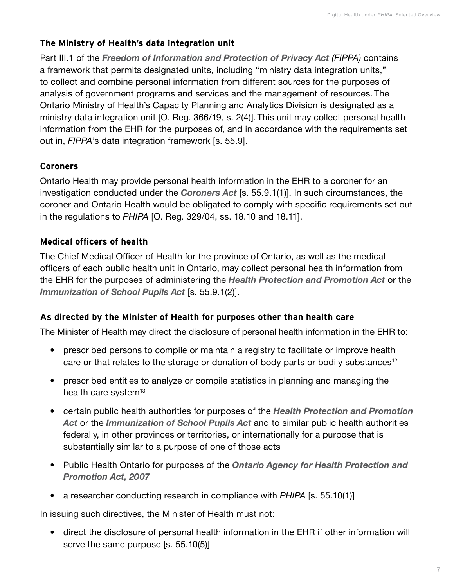#### **The Ministry of Health's data integration unit**

Part III.1 of the *[Freedom of Information and Protection of Privacy Act](https://www.ontario.ca/laws/statute/90f31) (FIPPA)* contains a framework that permits designated units, including "ministry data integration units," to collect and combine personal information from different sources for the purposes of analysis of government programs and services and the management of resources. The Ontario Ministry of Health's Capacity Planning and Analytics Division is designated as a ministry data integration unit [O. Reg. 366/19, s. 2(4)]. This unit may collect personal health information from the EHR for the purposes of, and in accordance with the requirements set out in, *FIPPA*'s data integration framework [s. 55.9].

#### **Coroners**

Ontario Health may provide personal health information in the EHR to a coroner for an investigation conducted under the *[Coroners Act](https://www.ontario.ca/laws/statute/90c37)* [s. 55.9.1(1)]. In such circumstances, the coroner and Ontario Health would be obligated to comply with specific requirements set out in the regulations to *PHIPA* [O. Reg. 329/04, ss. 18.10 and 18.11].

#### **Medical officers of health**

The Chief Medical Officer of Health for the province of Ontario, as well as the medical officers of each public health unit in Ontario, may collect personal health information from the EHR for the purposes of administering the *[Health Protection and Promotion Act](https://www.ontario.ca/laws/statute/90h07)* or the *[Immunization of School Pupils Act](https://www.ontario.ca/laws/statute/90i01)* [s. 55.9.1(2)].

#### **As directed by the Minister of Health for purposes other than health care**

The Minister of Health may direct the disclosure of personal health information in the EHR to:

- prescribed persons to compile or maintain a registry to facilitate or improve health care or that relates to the storage or donation of body parts or bodily substances<sup>12</sup>
- prescribed entities to analyze or compile statistics in planning and managing the health care system $13$
- certain public health authorities for purposes of the *[Health Protection and Promotion](https://www.ontario.ca/laws/statute/90h07)  [Act](https://www.ontario.ca/laws/statute/90h07)* or the *[Immunization of School Pupils Act](https://www.ontario.ca/laws/statute/90i01)* and to similar public health authorities federally, in other provinces or territories, or internationally for a purpose that is substantially similar to a purpose of one of those acts
- Public Health Ontario for purposes of the *[Ontario Agency for Health Protection and](https://www.ontario.ca/laws/statute/07o10)  [Promotion Act, 2007](https://www.ontario.ca/laws/statute/07o10)*
- a researcher conducting research in compliance with *PHIPA* [s. 55.10(1)]

In issuing such directives, the Minister of Health must not:

• direct the disclosure of personal health information in the EHR if other information will serve the same purpose [s. 55.10(5)]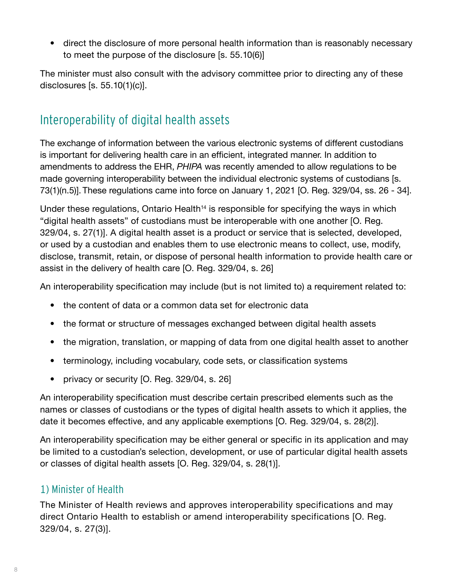<span id="page-9-0"></span>• direct the disclosure of more personal health information than is reasonably necessary to meet the purpose of the disclosure [s. 55.10(6)]

The minister must also consult with the advisory committee prior to directing any of these disclosures [s. 55.10(1)(c)].

## Interoperability of digital health assets

The exchange of information between the various electronic systems of different custodians is important for delivering health care in an efficient, integrated manner. In addition to amendments to address the EHR, *PHIPA* was recently amended to allow regulations to be made governing interoperability between the individual electronic systems of custodians [s. 73(1)(n.5)]. These regulations came into force on January 1, 2021 [O. Reg. 329/04, ss. 26 - 34].

Under these regulations, Ontario Health<sup> $14$ </sup> is responsible for specifying the ways in which "digital health assets" of custodians must be interoperable with one another [O. Reg. 329/04, s. 27(1)]. A digital health asset is a product or service that is selected, developed, or used by a custodian and enables them to use electronic means to collect, use, modify, disclose, transmit, retain, or dispose of personal health information to provide health care or assist in the delivery of health care [O. Reg. 329/04, s. 26]

An interoperability specification may include (but is not limited to) a requirement related to:

- the content of data or a common data set for electronic data
- the format or structure of messages exchanged between digital health assets
- the migration, translation, or mapping of data from one digital health asset to another
- terminology, including vocabulary, code sets, or classification systems
- privacy or security [O. Reg. 329/04, s. 26]

An interoperability specification must describe certain prescribed elements such as the names or classes of custodians or the types of digital health assets to which it applies, the date it becomes effective, and any applicable exemptions [O. Reg. 329/04, s. 28(2)].

An interoperability specification may be either general or specific in its application and may be limited to a custodian's selection, development, or use of particular digital health assets or classes of digital health assets [O. Reg. 329/04, s. 28(1)].

## 1) Minister of Health

The Minister of Health reviews and approves interoperability specifications and may direct Ontario Health to establish or amend interoperability specifications [O. Reg. 329/04, s. 27(3)].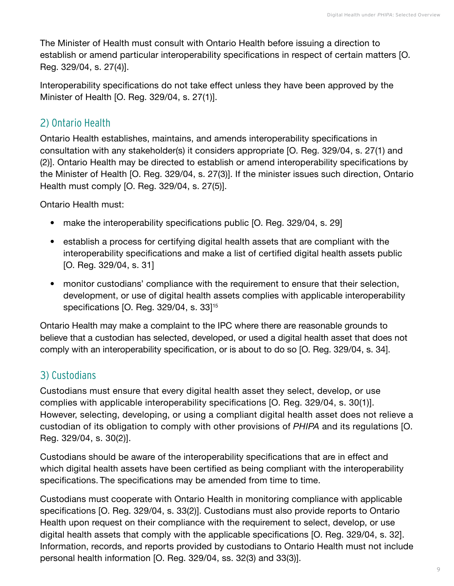The Minister of Health must consult with Ontario Health before issuing a direction to establish or amend particular interoperability specifications in respect of certain matters [O. Reg. 329/04, s. 27(4)].

Interoperability specifications do not take effect unless they have been approved by the Minister of Health [O. Reg. 329/04, s. 27(1)].

### 2) Ontario Health

Ontario Health establishes, maintains, and amends interoperability specifications in consultation with any stakeholder(s) it considers appropriate [O. Reg. 329/04, s. 27(1) and (2)]. Ontario Health may be directed to establish or amend interoperability specifications by the Minister of Health [O. Reg. 329/04, s. 27(3)]. If the minister issues such direction, Ontario Health must comply [O. Reg. 329/04, s. 27(5)].

Ontario Health must:

- make the interoperability specifications public [O. Reg. 329/04, s. 29]
- establish a process for certifying digital health assets that are compliant with the interoperability specifications and make a list of certified digital health assets public [O. Reg. 329/04, s. 31]
- monitor custodians' compliance with the requirement to ensure that their selection, development, or use of digital health assets complies with applicable interoperability specifications [O. Reg. 329/04, s. 33]15

Ontario Health may make a complaint to the IPC where there are reasonable grounds to believe that a custodian has selected, developed, or used a digital health asset that does not comply with an interoperability specification, or is about to do so [O. Reg. 329/04, s. 34].

## 3) Custodians

Custodians must ensure that every digital health asset they select, develop, or use complies with applicable interoperability specifications [O. Reg. 329/04, s. 30(1)]. However, selecting, developing, or using a compliant digital health asset does not relieve a custodian of its obligation to comply with other provisions of *PHIPA* and its regulations [O. Reg. 329/04, s. 30(2)].

Custodians should be aware of the interoperability specifications that are in effect and which digital health assets have been certified as being compliant with the interoperability specifications. The specifications may be amended from time to time.

Custodians must cooperate with Ontario Health in monitoring compliance with applicable specifications [O. Reg. 329/04, s. 33(2)]. Custodians must also provide reports to Ontario Health upon request on their compliance with the requirement to select, develop, or use digital health assets that comply with the applicable specifications [O. Reg. 329/04, s. 32]. Information, records, and reports provided by custodians to Ontario Health must not include personal health information [O. Reg. 329/04, ss. 32(3) and 33(3)].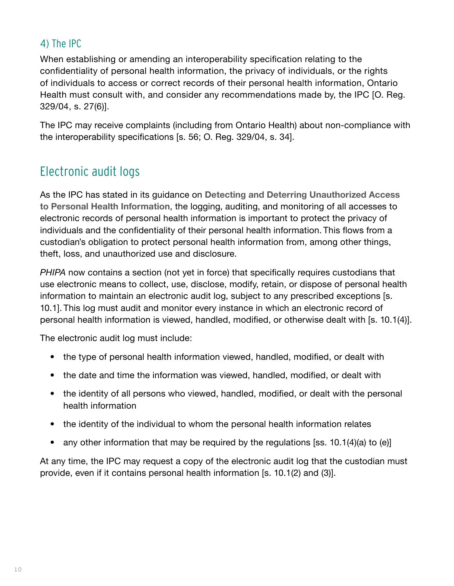## <span id="page-11-0"></span>4) The IPC

When establishing or amending an interoperability specification relating to the confidentiality of personal health information, the privacy of individuals, or the rights of individuals to access or correct records of their personal health information, Ontario Health must consult with, and consider any recommendations made by, the IPC [O. Reg. 329/04, s. 27(6)].

The IPC may receive complaints (including from Ontario Health) about non-compliance with the interoperability specifications [s. 56; O. Reg. 329/04, s. 34].

## Electronic audit logs

As the IPC has stated in its guidance on **[Detecting and Deterring Unauthorized Access](https://www.ipc.on.ca/wp-content/uploads/Resources/Detect_Deter.pdf)  [to Personal Health Information](https://www.ipc.on.ca/wp-content/uploads/Resources/Detect_Deter.pdf)**, the logging, auditing, and monitoring of all accesses to electronic records of personal health information is important to protect the privacy of individuals and the confidentiality of their personal health information. This flows from a custodian's obligation to protect personal health information from, among other things, theft, loss, and unauthorized use and disclosure.

*PHIPA* now contains a section (not yet in force) that specifically requires custodians that use electronic means to collect, use, disclose, modify, retain, or dispose of personal health information to maintain an electronic audit log, subject to any prescribed exceptions [s. 10.1]. This log must audit and monitor every instance in which an electronic record of personal health information is viewed, handled, modified, or otherwise dealt with [s. 10.1(4)].

The electronic audit log must include:

- the type of personal health information viewed, handled, modified, or dealt with
- the date and time the information was viewed, handled, modified, or dealt with
- the identity of all persons who viewed, handled, modified, or dealt with the personal health information
- the identity of the individual to whom the personal health information relates
- any other information that may be required by the regulations [ss. 10.1(4)(a) to (e)]

At any time, the IPC may request a copy of the electronic audit log that the custodian must provide, even if it contains personal health information [s. 10.1(2) and (3)].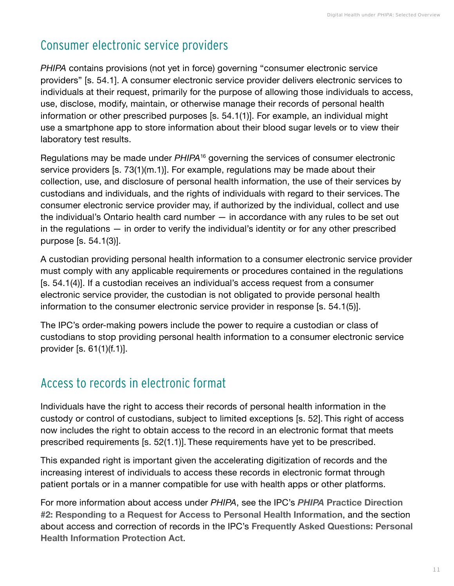## <span id="page-12-0"></span>Consumer electronic service providers

*PHIPA* contains provisions (not yet in force) governing "consumer electronic service providers" [s. 54.1]. A consumer electronic service provider delivers electronic services to individuals at their request, primarily for the purpose of allowing those individuals to access, use, disclose, modify, maintain, or otherwise manage their records of personal health information or other prescribed purposes [s. 54.1(1)]. For example, an individual might use a smartphone app to store information about their blood sugar levels or to view their laboratory test results.

Regulations may be made under *PHIPA*16 governing the services of consumer electronic service providers [s. 73(1)(m.1)]. For example, regulations may be made about their collection, use, and disclosure of personal health information, the use of their services by custodians and individuals, and the rights of individuals with regard to their services. The consumer electronic service provider may, if authorized by the individual, collect and use the individual's Ontario health card number — in accordance with any rules to be set out in the regulations — in order to verify the individual's identity or for any other prescribed purpose [s. 54.1(3)].

A custodian providing personal health information to a consumer electronic service provider must comply with any applicable requirements or procedures contained in the regulations [s. 54.1(4)]. If a custodian receives an individual's access request from a consumer electronic service provider, the custodian is not obligated to provide personal health information to the consumer electronic service provider in response [s. 54.1(5)].

The IPC's order-making powers include the power to require a custodian or class of custodians to stop providing personal health information to a consumer electronic service provider [s. 61(1)(f.1)].

## Access to records in electronic format

Individuals have the right to access their records of personal health information in the custody or control of custodians, subject to limited exceptions [s. 52]. This right of access now includes the right to obtain access to the record in an electronic format that meets prescribed requirements [s. 52(1.1)]. These requirements have yet to be prescribed.

This expanded right is important given the accelerating digitization of records and the increasing interest of individuals to access these records in electronic format through patient portals or in a manner compatible for use with health apps or other platforms.

For more information about access under *PHIPA*, see the IPC's *PHIPA* **[Practice Direction](https://www.ipc.on.ca/wp-content/uploads/2017/02/2017-he-pd-02-e.pdf)  [#2: Responding to a Request for Access to Personal Health Information](https://www.ipc.on.ca/wp-content/uploads/2017/02/2017-he-pd-02-e.pdf)**, and the section about access and correction of records in the IPC's **[Frequently Asked Questions: Personal](https://www.ipc.on.ca/wp-content/uploads/2015/11/phipa-faq.pdf)  [Health Information Protection Act](https://www.ipc.on.ca/wp-content/uploads/2015/11/phipa-faq.pdf)**.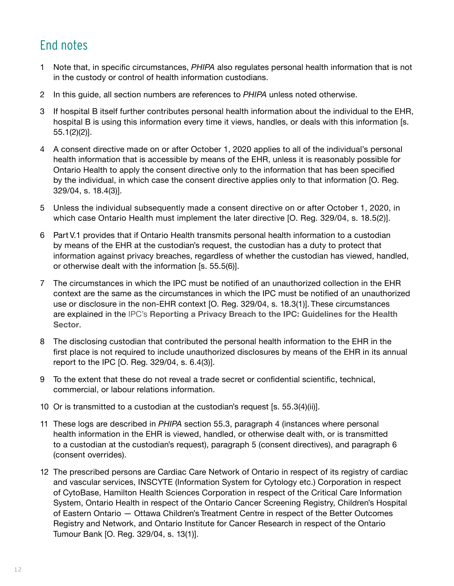## <span id="page-13-0"></span>End notes

- 1 Note that, in specific circumstances, *PHIPA* also regulates personal health information that is not in the custody or control of health information custodians.
- 2 In this guide, all section numbers are references to *PHIPA* unless noted otherwise.
- 3 If hospital B itself further contributes personal health information about the individual to the EHR, hospital B is using this information every time it views, handles, or deals with this information [s. 55.1(2)(2)].
- 4 A consent directive made on or after October 1, 2020 applies to all of the individual's personal health information that is accessible by means of the EHR, unless it is reasonably possible for Ontario Health to apply the consent directive only to the information that has been specified by the individual, in which case the consent directive applies only to that information [O. Reg. 329/04, s. 18.4(3)].
- 5 Unless the individual subsequently made a consent directive on or after October 1, 2020, in which case Ontario Health must implement the later directive [O. Reg. 329/04, s. 18.5(2)].
- 6 Part V.1 provides that if Ontario Health transmits personal health information to a custodian by means of the EHR at the custodian's request, the custodian has a duty to protect that information against privacy breaches, regardless of whether the custodian has viewed, handled, or otherwise dealt with the information [s. 55.5(6)].
- 7 The circumstances in which the IPC must be notified of an unauthorized collection in the EHR context are the same as the circumstances in which the IPC must be notified of an unauthorized use or disclosure in the non-EHR context [O. Reg. 329/04, s. 18.3(1)]. These circumstances are explained in the IPC's **[Reporting a Privacy Breach to the IPC: Guidelines for the Health](https://www.ipc.on.ca/wp-content/uploads/2019/09/2019-health-privacy-breach-notification-guidelines.pdf)  [Sector](https://www.ipc.on.ca/wp-content/uploads/2019/09/2019-health-privacy-breach-notification-guidelines.pdf)**.
- 8 The disclosing custodian that contributed the personal health information to the EHR in the first place is not required to include unauthorized disclosures by means of the EHR in its annual report to the IPC [O. Reg. 329/04, s. 6.4(3)].
- 9 To the extent that these do not reveal a trade secret or confidential scientific, technical, commercial, or labour relations information.
- 10 Or is transmitted to a custodian at the custodian's request [s. 55.3(4)(ii)].
- 11 These logs are described in *PHIPA* section 55.3, paragraph 4 (instances where personal health information in the EHR is viewed, handled, or otherwise dealt with, or is transmitted to a custodian at the custodian's request), paragraph 5 (consent directives), and paragraph 6 (consent overrides).
- 12 The prescribed persons are Cardiac Care Network of Ontario in respect of its registry of cardiac and vascular services, INSCYTE (Information System for Cytology etc.) Corporation in respect of CytoBase, Hamilton Health Sciences Corporation in respect of the Critical Care Information System, Ontario Health in respect of the Ontario Cancer Screening Registry, Children's Hospital of Eastern Ontario — Ottawa Children's Treatment Centre in respect of the Better Outcomes Registry and Network, and Ontario Institute for Cancer Research in respect of the Ontario Tumour Bank [O. Reg. 329/04, s. 13(1)].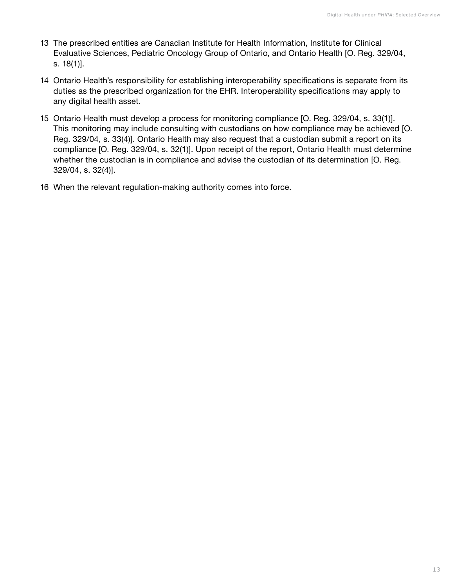- 13 The prescribed entities are Canadian Institute for Health Information, Institute for Clinical Evaluative Sciences, Pediatric Oncology Group of Ontario, and Ontario Health [O. Reg. 329/04, s. 18(1)].
- 14 Ontario Health's responsibility for establishing interoperability specifications is separate from its duties as the prescribed organization for the EHR. Interoperability specifications may apply to any digital health asset.
- 15 Ontario Health must develop a process for monitoring compliance [O. Reg. 329/04, s. 33(1)]. This monitoring may include consulting with custodians on how compliance may be achieved [O. Reg. 329/04, s. 33(4)]. Ontario Health may also request that a custodian submit a report on its compliance [O. Reg. 329/04, s. 32(1)]. Upon receipt of the report, Ontario Health must determine whether the custodian is in compliance and advise the custodian of its determination [O. Reg. 329/04, s. 32(4)].
- 16 When the relevant regulation-making authority comes into force.